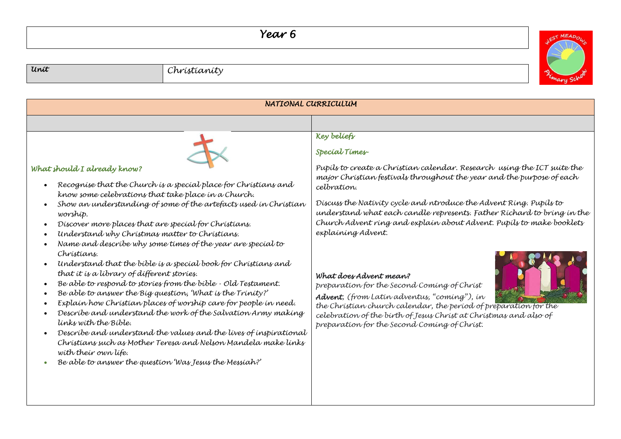## *Year 6*



| NATIONAL CURRICULUM                                                                                                                                                                                                                                                                                                                                                                                                                                                                                                                                                                                                                                                                                                                                                                                                                                                                                                                                                                                                                                                   |                                                                                                                                                                                                                                                                                                                                                                                                                                                                                                                                                                                                                                                                                                                                                                 |  |
|-----------------------------------------------------------------------------------------------------------------------------------------------------------------------------------------------------------------------------------------------------------------------------------------------------------------------------------------------------------------------------------------------------------------------------------------------------------------------------------------------------------------------------------------------------------------------------------------------------------------------------------------------------------------------------------------------------------------------------------------------------------------------------------------------------------------------------------------------------------------------------------------------------------------------------------------------------------------------------------------------------------------------------------------------------------------------|-----------------------------------------------------------------------------------------------------------------------------------------------------------------------------------------------------------------------------------------------------------------------------------------------------------------------------------------------------------------------------------------------------------------------------------------------------------------------------------------------------------------------------------------------------------------------------------------------------------------------------------------------------------------------------------------------------------------------------------------------------------------|--|
|                                                                                                                                                                                                                                                                                                                                                                                                                                                                                                                                                                                                                                                                                                                                                                                                                                                                                                                                                                                                                                                                       |                                                                                                                                                                                                                                                                                                                                                                                                                                                                                                                                                                                                                                                                                                                                                                 |  |
| What should I already know?<br>Recognise that the Church is a special place for Christians and<br>know some celebrations that take place in a Church.<br>Show an understanding of some of the artefacts used in Christian<br>worship.<br>Discover more places that are special for Christians.<br>Understand why Christmas matter to Christians.<br>Name and describe why some times of the year are special to<br>Christians.<br>Understand that the bible is a special book for Christians and<br>that it is a library of different stories.<br>Be able to respond to stories from the bible - Old Testament.<br>Be able to answer the Big question, 'What is the Trinity?'<br>Explain how Christian places of worship care for people in need.<br>Describe and understand the work of the Salvation Army making<br>links with the Bible.<br>Describe and understand the values and the lives of inspirational<br>Christians such as Mother Teresa and Nelson Mandela make links<br>with their own life.<br>Be able to answer the question 'Was Jesus the Messiah?' | Key beliefs<br>Special Times-<br>Pupils to create a Christian calendar. Research using the ICT suite the<br>major Christian festivals throughout the year and the purpose of each<br>celbration.<br>Discuss the Nativity cycle and ntroduce the Advent Ring. Pupils to<br>understand what each candle represents. Father Richard to bring in the<br>Church Advent ring and explain about Advent. Pupils to make booklets<br>explaining Advent.<br>What does Advent mean?<br>preparation for the Second Coming of Christ<br>Advent, (from Latin adventus, "coming"), in<br>the Christian church calendar, the period of preparation for the<br>celebration of the birth of Jesus Christ at Christmas and also of<br>preparation for the Second Coming of Christ. |  |

*Unit Christianity*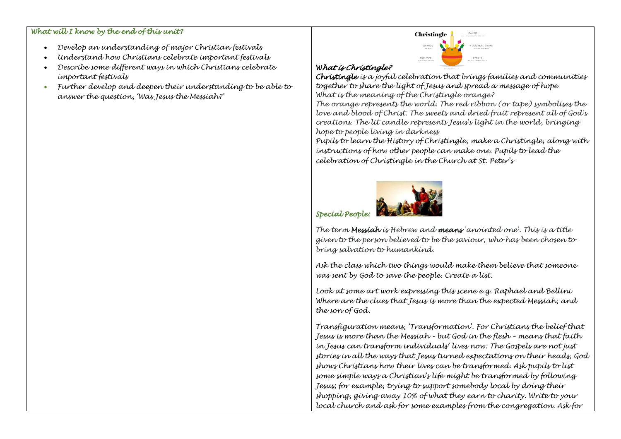#### *What will I know by the end of this unit?*

- *Develop an understanding of major Christian festivals*
- *Understand how Christians celebrate important festivals*
- *Describe some different ways in which Christians celebrate important festivals*
- *Further develop and deepen their understanding to be able to answer the question, 'Was Jesus the Messiah?'*



### *What is Christingle?*

*Christingle is a joyful celebration that brings families and communities together to share the light of Jesus and spread a message of hope What is the meaning of the Christingle orange?*

*The orange represents the world. The red ribbon (or tape) symbolises the love and blood of Christ. The sweets and dried fruit represent all of God's creations. The lit candle represents Jesus's light in the world, bringing hope to people living in darkness*

*Pupils to learn the History of Christingle, make a Christingle, along with instructions of how other people can make one. Pupils to lead the celebration of Christingle in the Church at St. Peter's* 



# *Special People:*

*The term Messiah is Hebrew and means 'anointed one'. This is a title given to the person believed to be the saviour, who has been chosen to bring salvation to humankind.* 

*Ask the class which two things would make them believe that someone was sent by God to save the people. Create a list.* 

*Look at some art work expressing this scene e.g. Raphael and Bellini Where are the clues that Jesus is more than the expected Messiah, and the son of God.*

*Transfiguration means, 'Transformation'. For Christians the belief that Jesus is more than the Messiah – but God in the flesh – means that faith in Jesus can transform individuals' lives now: The Gospels are not just stories in all the ways that Jesus turned expectations on their heads, God shows Christians how their lives can be transformed. Ask pupils to list some simple ways a Christian's life might be transformed by following Jesus; for example, trying to support somebody local by doing their shopping, giving away 10% of what they earn to charity. Write to your local church and ask for some examples from the congregation. Ask for*